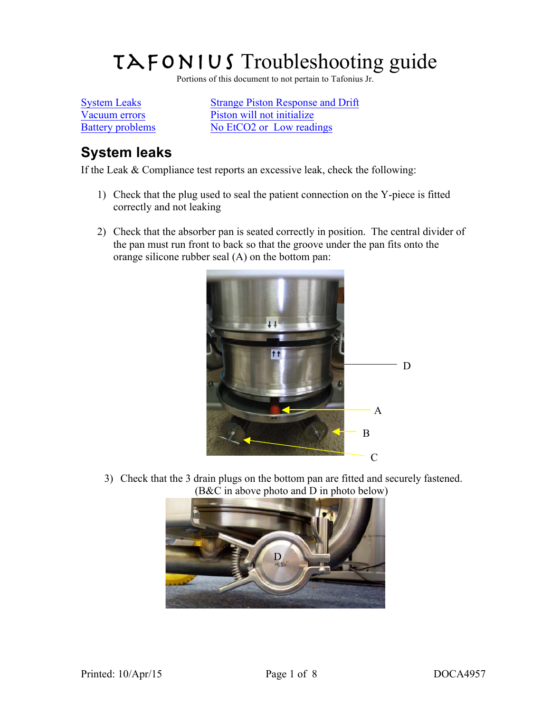# $T\rightarrow F$ ONIUS Troubleshooting guide

Portions of this document to not pertain to Tafonius Jr.

System Leaks Strange Piston Response and Drift Vacuum errors Piston will not initialize Battery problems No EtCO2 or Low readings

# **System leaks**

If the Leak & Compliance test reports an excessive leak, check the following:

- 1) Check that the plug used to seal the patient connection on the Y-piece is fitted correctly and not leaking
- 2) Check that the absorber pan is seated correctly in position. The central divider of the pan must run front to back so that the groove under the pan fits onto the orange silicone rubber seal (A) on the bottom pan:



3) Check that the 3 drain plugs on the bottom pan are fitted and securely fastened. (B&C in above photo and D in photo below)

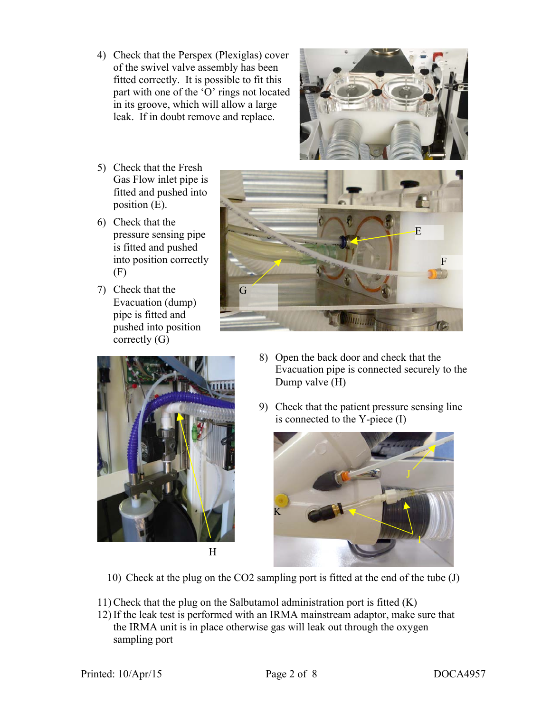4) Check that the Perspex (Plexiglas) cover of the swivel valve assembly has been fitted correctly. It is possible to fit this part with one of the 'O' rings not located in its groove, which will allow a large leak. If in doubt remove and replace.



- 5) Check that the Fresh Gas Flow inlet pipe is fitted and pushed into position (E).
- 6) Check that the pressure sensing pipe is fitted and pushed into position correctly (F)
- 7) Check that the Evacuation (dump) pipe is fitted and pushed into position correctly (G)





- 8) Open the back door and check that the Evacuation pipe is connected securely to the Dump valve (H)
- 9) Check that the patient pressure sensing line is connected to the Y-piece (I)



10) Check at the plug on the CO2 sampling port is fitted at the end of the tube (J)

- 11) Check that the plug on the Salbutamol administration port is fitted (K)
- 12) If the leak test is performed with an IRMA mainstream adaptor, make sure that the IRMA unit is in place otherwise gas will leak out through the oxygen sampling port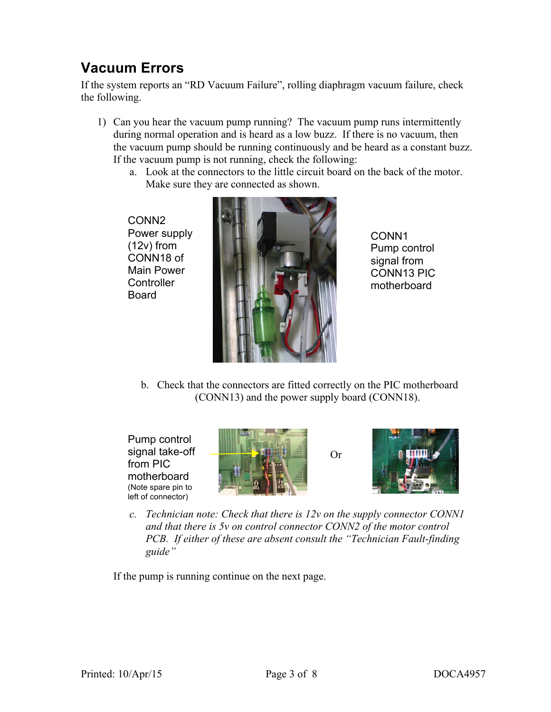# **Vacuum Errors**

If the system reports an "RD Vacuum Failure", rolling diaphragm vacuum failure, check the following.

- 1) Can you hear the vacuum pump running? The vacuum pump runs intermittently during normal operation and is heard as a low buzz. If there is no vacuum, then the vacuum pump should be running continuously and be heard as a constant buzz. If the vacuum pump is not running, check the following:
	- a. Look at the connectors to the little circuit board on the back of the motor. Make sure they are connected as shown.

CONN2 Power supply (12v) from CONN18 of Main Power **Controller** Board



CONN1 Pump control signal from CONN13 PIC motherboard

b. Check that the connectors are fitted correctly on the PIC motherboard (CONN13) and the power supply board (CONN18).

Pump control signal take-off from PIC motherboard (Note spare pin to left of connector)



Or



*c. Technician note: Check that there is 12v on the supply connector CONN1 and that there is 5v on control connector CONN2 of the motor control PCB. If either of these are absent consult the "Technician Fault-finding guide"*

If the pump is running continue on the next page.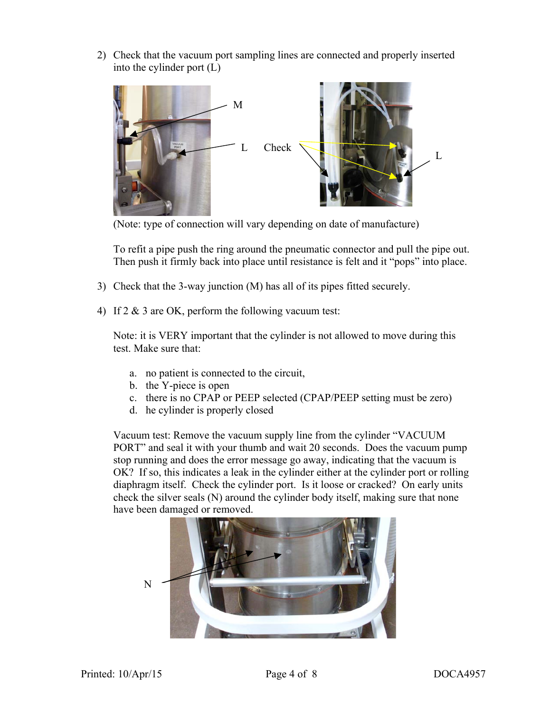2) Check that the vacuum port sampling lines are connected and properly inserted into the cylinder port (L)



(Note: type of connection will vary depending on date of manufacture)

To refit a pipe push the ring around the pneumatic connector and pull the pipe out. Then push it firmly back into place until resistance is felt and it "pops" into place.

- 3) Check that the 3-way junction (M) has all of its pipes fitted securely.
- 4) If 2 & 3 are OK, perform the following vacuum test:

Note: it is VERY important that the cylinder is not allowed to move during this test. Make sure that:

- a. no patient is connected to the circuit,
- b. the Y-piece is open
- c. there is no CPAP or PEEP selected (CPAP/PEEP setting must be zero)
- d. he cylinder is properly closed

Vacuum test: Remove the vacuum supply line from the cylinder "VACUUM PORT" and seal it with your thumb and wait 20 seconds. Does the vacuum pump stop running and does the error message go away, indicating that the vacuum is OK? If so, this indicates a leak in the cylinder either at the cylinder port or rolling diaphragm itself. Check the cylinder port. Is it loose or cracked? On early units check the silver seals (N) around the cylinder body itself, making sure that none have been damaged or removed.

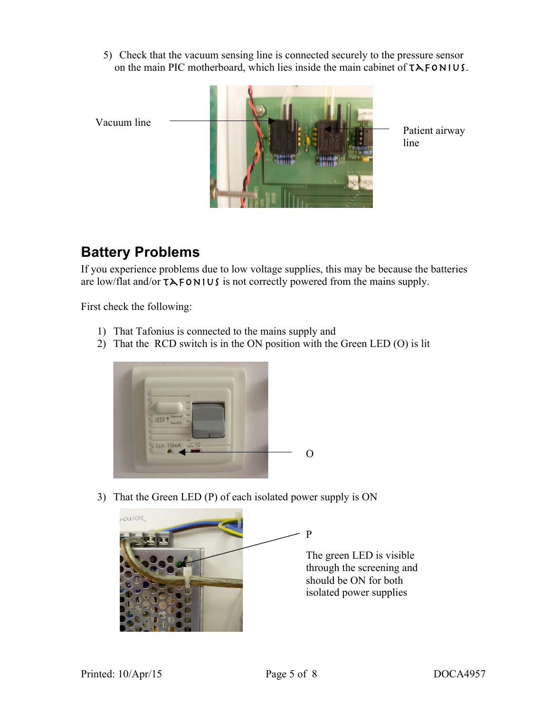5) Check that the vacuum sensing line is connected securely to the pressure sensor on the main PIC motherboard, which lies inside the main cabinet of  $TAFONIUS$ .



### **Battery Problems**

If you experience problems due to low voltage supplies, this may be because the batteries are low/flat and/or  $TAFORMIUS$  is not correctly powered from the mains supply.

First check the following:

- 1) That Tafonius is connected to the mains supply and
- 2) That the RCD switch is in the ON position with the Green LED (O) is lit



3) That the Green LED (P) of each isolated power supply is ON

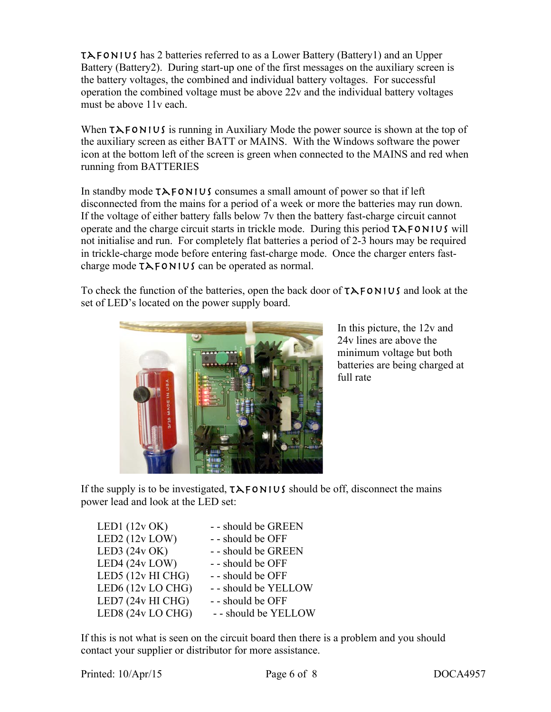$T\lambda$ FONIUS has 2 batteries referred to as a Lower Battery (Battery1) and an Upper Battery (Battery2). During start-up one of the first messages on the auxiliary screen is the battery voltages, the combined and individual battery voltages. For successful operation the combined voltage must be above 22v and the individual battery voltages must be above 11v each.

When  $T\lambda$  FONIUS is running in Auxiliary Mode the power source is shown at the top of the auxiliary screen as either BATT or MAINS. With the Windows software the power icon at the bottom left of the screen is green when connected to the MAINS and red when running from BATTERIES

In standby mode  $TAFONIUS$  consumes a small amount of power so that if left disconnected from the mains for a period of a week or more the batteries may run down. If the voltage of either battery falls below 7v then the battery fast-charge circuit cannot operate and the charge circuit starts in trickle mode. During this period  $TAFONIUS$  will not initialise and run. For completely flat batteries a period of 2-3 hours may be required in trickle-charge mode before entering fast-charge mode. Once the charger enters fastcharge mode  $T\lambda$ FONIUS can be operated as normal.

To check the function of the batteries, open the back door of  $TAFORMIUS$  and look at the set of LED's located on the power supply board.



In this picture, the 12v and 24v lines are above the minimum voltage but both batteries are being charged at full rate

If the supply is to be investigated,  $T\lambda$ FONIUS should be off, disconnect the mains power lead and look at the LED set:

| LED1 $(12v OK)$     | - - should be GREEN  |
|---------------------|----------------------|
| LED2 $(12v$ LOW)    | - - should be OFF    |
| LED3 $(24v OK)$     | - - should be GREEN  |
| LED4 (24v LOW)      | - - should be OFF    |
| LED5 $(12v$ HI CHG) | - - should be OFF    |
| LED6 (12v LO CHG)   | - - should be YELLOW |
| LED7 (24v HI CHG)   | - - should be OFF    |
| LED8 (24v LO CHG)   | - - should be YELLOW |

If this is not what is seen on the circuit board then there is a problem and you should contact your supplier or distributor for more assistance.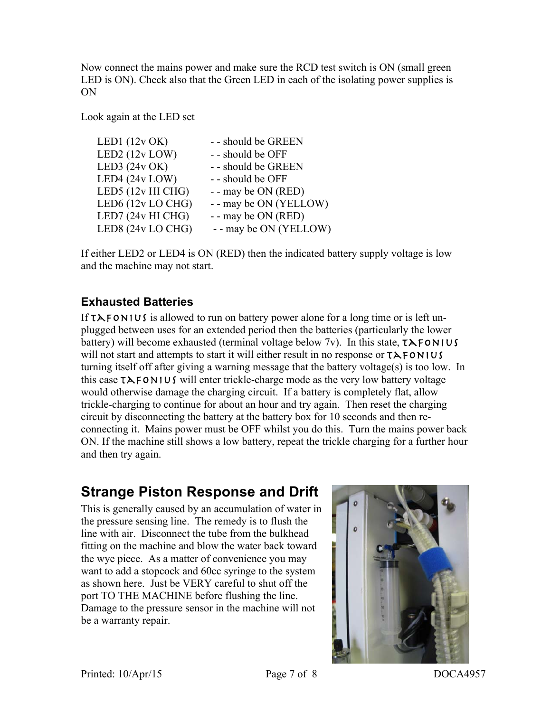Now connect the mains power and make sure the RCD test switch is ON (small green LED is ON). Check also that the Green LED in each of the isolating power supplies is ON

Look again at the LED set

| - - should be GREEN   |
|-----------------------|
| - - should be OFF     |
| - - should be GREEN   |
| - - should be OFF     |
| - - may be ON (RED)   |
| -- may be ON (YELLOW) |
| - - may be ON (RED)   |
| -- may be ON (YELLOW) |
|                       |

If either LED2 or LED4 is ON (RED) then the indicated battery supply voltage is low and the machine may not start.

#### **Exhausted Batteries**

If  $T\lambda$  FONIUS is allowed to run on battery power alone for a long time or is left unplugged between uses for an extended period then the batteries (particularly the lower battery) will become exhausted (terminal voltage below  $7v$ ). In this state,  $TAFONIUS$ will not start and attempts to start it will either result in no response or  $TAFONIUS$ turning itself off after giving a warning message that the battery voltage(s) is too low. In this case  $TAFORMIUS$  will enter trickle-charge mode as the very low battery voltage would otherwise damage the charging circuit. If a battery is completely flat, allow trickle-charging to continue for about an hour and try again. Then reset the charging circuit by disconnecting the battery at the battery box for 10 seconds and then reconnecting it. Mains power must be OFF whilst you do this. Turn the mains power back ON. If the machine still shows a low battery, repeat the trickle charging for a further hour and then try again.

## **Strange Piston Response and Drift**

This is generally caused by an accumulation of water in the pressure sensing line. The remedy is to flush the line with air. Disconnect the tube from the bulkhead fitting on the machine and blow the water back toward the wye piece. As a matter of convenience you may want to add a stopcock and 60cc syringe to the system as shown here. Just be VERY careful to shut off the port TO THE MACHINE before flushing the line. Damage to the pressure sensor in the machine will not be a warranty repair.